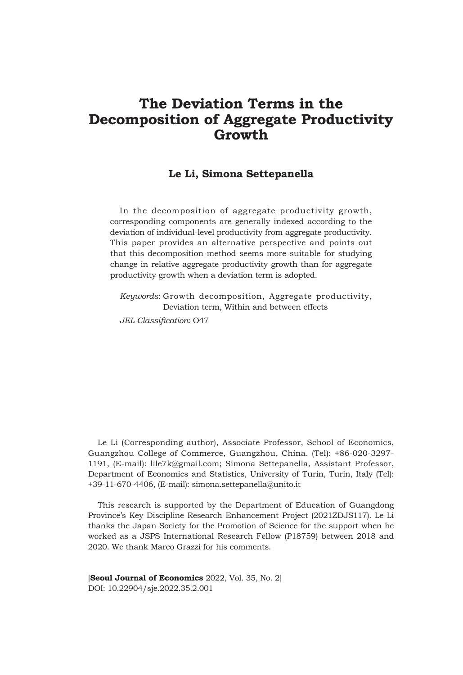# **The Deviation Terms in the Decomposition of Aggregate Productivity Growth**

# **Le Li, Simona Settepanella**

In the decomposition of aggregate productivity growth, corresponding components are generally indexed according to the deviation of individual-level productivity from aggregate productivity. This paper provides an alternative perspective and points out that this decomposition method seems more suitable for studying change in relative aggregate productivity growth than for aggregate productivity growth when a deviation term is adopted.

*Keywords*: Growth decomposition, Aggregate productivity, Deviation term, Within and between effects *JEL Classification*: O47

Le Li (Corresponding author), Associate Professor, School of Economics, Guangzhou College of Commerce, Guangzhou, China. (Tel): +86-020-3297- 1191, (E-mail): lile7k@gmail.com; Simona Settepanella, Assistant Professor, Department of Economics and Statistics, University of Turin, Turin, Italy (Tel): +39-11-670-4406, (E-mail): simona.settepanella@unito.it

This research is supported by the Department of Education of Guangdong Province's Key Discipline Research Enhancement Project (2021ZDJS117). Le Li thanks the Japan Society for the Promotion of Science for the support when he worked as a JSPS International Research Fellow (P18759) between 2018 and 2020. We thank Marco Grazzi for his comments.

[**Seoul Journal of Economics** 2022, Vol. 35, No. 2] DOI: 10.22904/sje.2022.35.2.001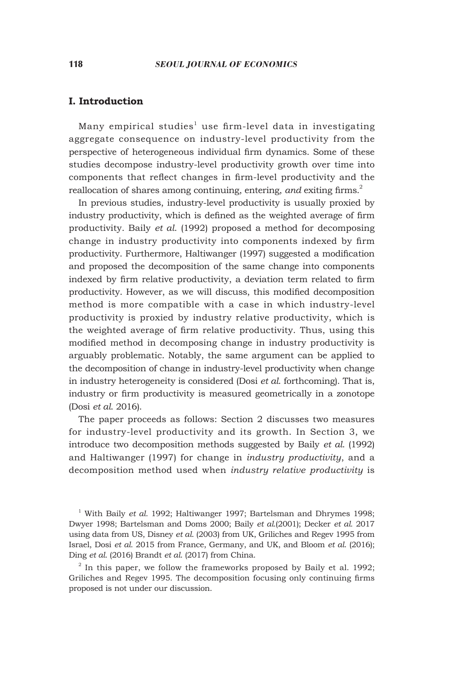# **I. Introduction**

Many empirical studies<sup>1</sup> use firm-level data in investigating aggregate consequence on industry-level productivity from the perspective of heterogeneous individual firm dynamics. Some of these studies decompose industry-level productivity growth over time into components that reflect changes in firm-level productivity and the reallocation of shares among continuing, entering, *and* exiting firms.<sup>2</sup>

In previous studies, industry-level productivity is usually proxied by industry productivity, which is defined as the weighted average of firm productivity. Baily *et al*. (1992) proposed a method for decomposing change in industry productivity into components indexed by firm productivity. Furthermore, Haltiwanger (1997) suggested a modification and proposed the decomposition of the same change into components indexed by firm relative productivity, a deviation term related to firm productivity. However, as we will discuss, this modified decomposition method is more compatible with a case in which industry-level productivity is proxied by industry relative productivity, which is the weighted average of firm relative productivity. Thus, using this modified method in decomposing change in industry productivity is arguably problematic. Notably, the same argument can be applied to the decomposition of change in industry-level productivity when change in industry heterogeneity is considered (Dosi *et al*. forthcoming). That is, industry or firm productivity is measured geometrically in a zonotope (Dosi *et al*. 2016).

The paper proceeds as follows: Section 2 discusses two measures for industry-level productivity and its growth. In Section 3, we introduce two decomposition methods suggested by Baily *et al*. (1992) and Haltiwanger (1997) for change in *industry productivity*, and a decomposition method used when *industry relative productivity* is

<sup>1</sup> With Baily et al. 1992; Haltiwanger 1997; Bartelsman and Dhrymes 1998; Dwyer 1998; Bartelsman and Doms 2000; Baily *et al*.(2001); Decker *et al.* 2017 using data from US, Disney *et al*. (2003) from UK, Griliches and Regev 1995 from Israel, Dosi *et al.* 2015 from France, Germany, and UK, and Bloom *et al*. (2016); Ding *et al*. (2016) Brandt *et al*. (2017) from China.

 $2$  In this paper, we follow the frameworks proposed by Baily et al. 1992; Griliches and Regev 1995. The decomposition focusing only continuing firms proposed is not under our discussion.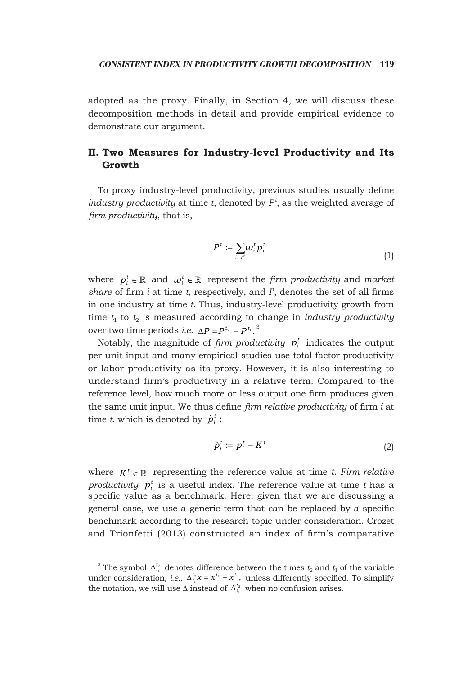adopted as the proxy. Finally, in Section 4, we will discuss these decomposition methods in detail and provide empirical evidence to demonstrate our argument.

# **II. Two Measures for Industry-level Productivity and Its Growth**

To proxy industry-level productivity, previous studies usually define *industry productivity* at time *t*, denoted by *P<sup>t</sup>* , as the weighted average of *firm productivity*, that is,

$$
P^t := \sum_{i \in I^t} \omega_i^t p_i^t \tag{1}
$$

where  $p_i^t \in \mathbb{R}$  and  $w_i^t \in \mathbb{R}$  represent the *firm productivity* and *market share* of firm *i* at time *t*, respectively, and  $I<sup>t</sup>$ , denotes the set of all firms in one industry at time *t*. Thus, industry-level productivity growth from time  $t_1$  to  $t_2$  is measured according to change in *industry productivity* over two time periods *i.e.*  $\Delta P = P^{t_2} - P^{t_1}$ .<sup>3</sup>

Notably, the magnitude of *firm productivity*  $p_i^t$  indicates the output per unit input and many empirical studies use total factor productivity or labor productivity as its proxy. However, it is also interesting to understand firm's productivity in a relative term. Compared to the reference level, how much more or less output one firm produces given the same unit input. We thus define *firm relative productivity* of firm *i* at time *t*, which is denoted by  $\hat{p}_i^t$ :

$$
\hat{p}_i^t \coloneqq p_i^t - K^t \tag{2}
$$

where  $K^t \in \mathbb{R}$  representing the reference value at time *t. Firm relative productivity*  $\hat{p}_i^t$  is a useful index. The reference value at time t has a specific value as a benchmark. Here, given that we are discussing a general case, we use a generic term that can be replaced by a specific benchmark according to the research topic under consideration. Crozet and Trionfetti (2013) constructed an index of firm's comparative

<sup>&</sup>lt;sup>3</sup> The symbol  $\Delta_{t_1}^{t_2}$  denotes difference between the times  $t_2$  and  $t_1$  of the variable under consideration, *i.e.*,  $\Delta_{t_1}^{t_2} x = x^{t_2} - x^{t_1}$ , unless differently specified. To simplify the notation, we will use  $\Delta$  instead of  $\Delta_{t_1}^{t_2}$  when no confusion arises.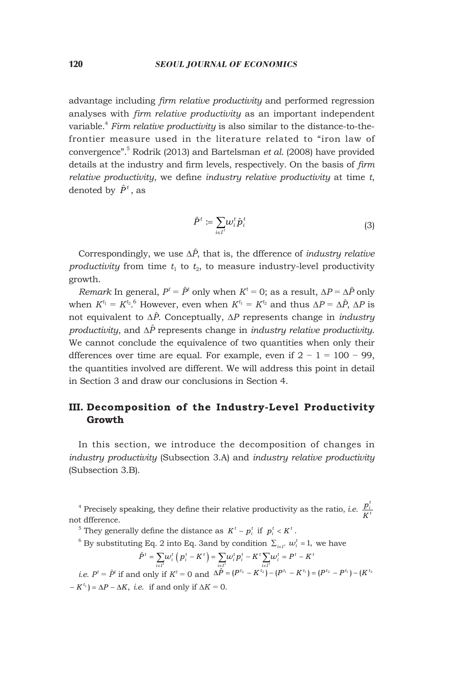### 120 *SEOUL JOURNAL OF ECONOMICS*

advantage including *firm relative productivity* and performed regression analyses with *firm relative productivity* as an important independent variable.4 *Firm relative productivity* is also similar to the distance-to-thefrontier measure used in the literature related to "iron law of convergence".5 Rodrik (2013) and Bartelsman *et al*. (2008) have provided details at the industry and firm levels, respectively. On the basis of *firm relative productivity*, we define *industry relative productivity* at time *t*, denoted by  $\hat{P}^t$ , as

$$
\hat{P}^t := \sum_{i \in I^t} w_i^t \hat{p}_i^t \tag{3}
$$

Correspondingly, we use ∆*P*ˆ, that is, the dfference of *industry relative productivity* from time  $t_1$  to  $t_2$ , to measure industry-level productivity growth.

*Remark* In general,  $P^t = \hat{P}^t$  only when  $K^t = 0$ ; as a result,  $\Delta P = \Delta \hat{P}$  only when  $K^{t_1} = K^{t_2}$ .<sup>6</sup> However, even when  $K^{t_1} = K^{t_2}$  and thus  $\Delta P = \Delta \hat{P}$ ,  $\Delta P$  is not equivalent to ∆*P*ˆ. Conceptually, ∆*P* represents change in *industry productivity*, and ∆*P*ˆ represents change in *industry relative productivity*. We cannot conclude the equivalence of two quantities when only their dfferences over time are equal. For example, even if  $2 - 1 = 100 - 99$ , the quantities involved are different. We will address this point in detail in Section 3 and draw our conclusions in Section 4.

# **III. Decomposition of the Industry-Level Productivity Growth**

In this section, we introduce the decomposition of changes in *industry productivity* (Subsection 3.A) and *industry relative productivity* (Subsection 3.B).

<sup>4</sup> Precisely speaking, they define their relative productivity as the ratio, *i.e.*  $\frac{p_i^i}{K}$ not difference.

<sup>5</sup> They generally define the distance as  $K^t - p_i^t$  if  $p_i^t < K^t$ .

<sup>6</sup> By substituting Eq. 2 into Eq. 3and by condition  $\sum_{i \in I^i} w_i^t = 1$ , we have

$$
\hat{P}^t = \sum_{i \in I^t} \omega_i^t \left(\, p_i^{\,t} - K^{\,t} \,\right) = \sum_{i \in I^t} \omega_i^t p_i^{\,t} - K^t \sum_{i \in I^t} \omega_i^{\,t} = P^t - K^t
$$

*i.e.*  $P^t = \hat{P}^t$  if and only if  $K^t = 0$  and  $\Delta \hat{P} = (P^{t_2} - K^{t_2}) - (P^{t_1} - K^{t_1}) = (P^{t_2} - P^{t_1}) - (K^{t_2} - K^{t_2})$  $-K^{t_1}$ ) =  $\Delta P - \Delta K$ , *i.e.* if and only if  $\Delta K = 0$ .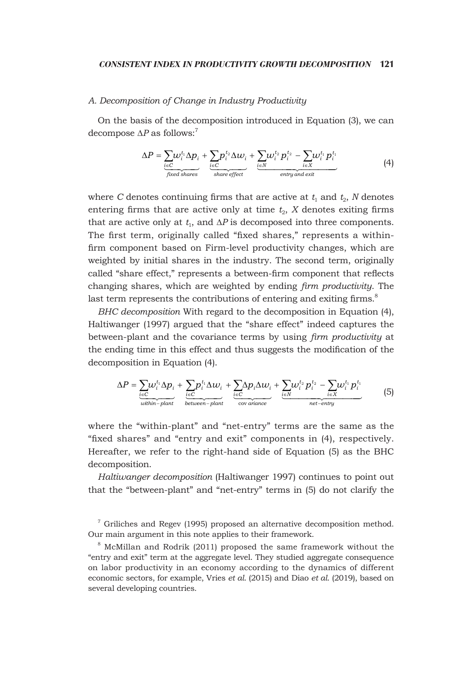#### *Consistent index in productivity growth decomposition* 121

### *A. Decomposition of Change in Industry Productivity*

On the basis of the decomposition introduced in Equation (3), we can decompose  $\Delta P$  as follows:<sup>7</sup>

$$
\Delta P = \sum_{\substack{i \in C \\ fixed\, shares}} w_i^{t_1} \Delta p_i + \sum_{\substack{i \in C \\ shared\, effects}} p_i^{t_2} \Delta w_i + \sum_{\substack{i \in N \\ end\, of}} w_i^{t_2} p_i^{t_2} - \sum_{i \in X} w_i^{t_1} p_i^{t_1}
$$
(4)

where *C* denotes continuing firms that are active at  $t_1$  and  $t_2$ , *N* denotes entering firms that are active only at time  $t_2$ ,  $X$  denotes exiting firms that are active only at  $t_1$ , and  $\Delta P$  is decomposed into three components. The first term, originally called "fixed shares," represents a withinfirm component based on Firm-level productivity changes, which are weighted by initial shares in the industry. The second term, originally called "share effect," represents a between-firm component that reflects changing shares, which are weighted by ending *firm productivity*. The last term represents the contributions of entering and exiting firms.<sup>8</sup>

*BHC decomposition* With regard to the decomposition in Equation (4), Haltiwanger (1997) argued that the "share effect" indeed captures the between-plant and the covariance terms by using *firm productivity* at the ending time in this effect and thus suggests the modification of the decomposition in Equation (4).

$$
\Delta P = \underbrace{\sum_{i \in C} \psi_i^{t_1} \Delta p_i}_{within\text{-}plant} + \underbrace{\sum_{i \in C} p_i^{t_1} \Delta w_i}_{between\text{-}plant} + \underbrace{\sum_{i \in C} \Delta p_i \Delta w_i}_{cov\text{ variance}} + \underbrace{\sum_{i \in N} \psi_i^{t_2} p_i^{t_2} - \sum_{i \in X} \psi_i^{t_1} p_i^{t_1}}_{net \text{-}entry} \tag{5}
$$

where the "within-plant" and "net-entry" terms are the same as the "fixed shares" and "entry and exit" components in (4), respectively. Hereafter, we refer to the right-hand side of Equation (5) as the BHC decomposition.

*Haltiwanger decomposition* (Haltiwanger 1997) continues to point out that the "between-plant" and "net-entry" terms in (5) do not clarify the

<sup>7</sup> Griliches and Regev (1995) proposed an alternative decomposition method. Our main argument in this note applies to their framework.

8 McMillan and Rodrik (2011) proposed the same framework without the "entry and exit" term at the aggregate level. They studied aggregate consequence on labor productivity in an economy according to the dynamics of different economic sectors, for example, Vries *et al*. (2015) and Diao *et al*. (2019), based on several developing countries.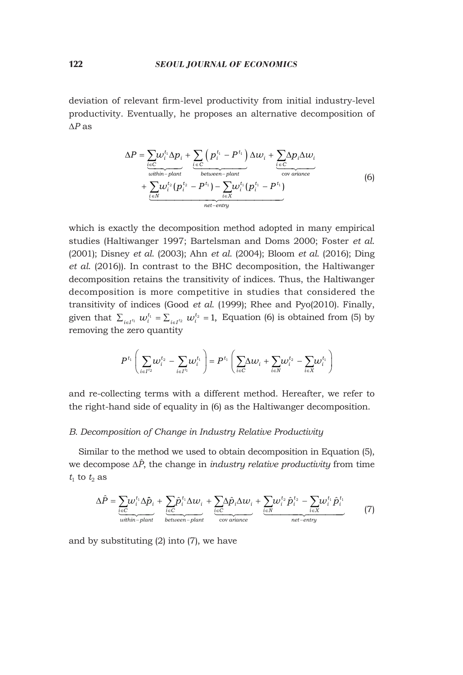deviation of relevant firm-level productivity from initial industry-level productivity. Eventually, he proposes an alternative decomposition of ∆*P* as

$$
\Delta P = \sum_{\substack{i \in C \\ \text{within-} \text{plant}}} \frac{\sum_{i \in C} (p_i^{t_1} - P^{t_1}) \Delta w_i + \sum_{i \in C} \Delta p_i \Delta w_i}{\sum_{\substack{\text{bottom-} \text{plant}}} \frac{\sum_{i \in C} \Delta p_i \Delta w_i}{\sum_{i \in N} \Delta p_i \Delta p_i}} + \sum_{\substack{i \in N \\ \text{in } N}} \frac{\sum_{i \in N} (p_i^{t_2} - P^{t_1}) - \sum_{i \in X} w_i^{t_1} (p_i^{t_1} - P^{t_1})}{\sum_{\substack{\text{net-} \text{entry}}} \frac{\sum_{i \in N} (p_i^{t_1} - P^{t_1})}{\sum_{i \in N} \Delta p_i \Delta p_i}} \tag{6}
$$

which is exactly the decomposition method adopted in many empirical studies (Haltiwanger 1997; Bartelsman and Doms 2000; Foster *et al*. (2001); Disney *et al*. (2003); Ahn *et al*. (2004); Bloom *et al*. (2016); Ding *et al*. (2016)). In contrast to the BHC decomposition, the Haltiwanger decomposition retains the transitivity of indices. Thus, the Haltiwanger decomposition is more competitive in studies that considered the transitivity of indices (Good *et al*. (1999); Rhee and Pyo(2010). Finally, given that  $\sum_{i \in I^{t_1}} w_i^{t_1} = \sum_{i \in I^{t_2}} w_i^{t_2} = 1$ , Equation (6) is obtained from (5) by removing the zero quantity

$$
P^{t_1}\Bigg(\sum_{i\in I^{t_2}}\hspace{-3mm}w^{t_2}_i-\sum_{i\in I^{t_1}}\hspace{-3mm}w^{t_1}_i\Bigg)\hspace{-3mm}=P^{t_1}\Bigg(\sum_{i\in C}\hspace{-3mm}\Delta w_i+\sum_{i\in N}\hspace{-3mm}w^{t_2}_i-\sum_{i\in X}\hspace{-3mm}w^{t_1}_i\Bigg)
$$

and re-collecting terms with a different method. Hereafter, we refer to the right-hand side of equality in (6) as the Haltiwanger decomposition.

#### *B. Decomposition of Change in Industry Relative Productivity*

Similar to the method we used to obtain decomposition in Equation (5), we decompose ∆*P*ˆ, the change in *industry relative productivity* from time  $t_1$  to  $t_2$  as

$$
\Delta \hat{P} = \sum_{\substack{i \in C \\ \text{within - plant}}} \frac{\sum_{i \in C} \hat{p}_i^{t_1} \Delta p_i}{\sum_{\substack{i \in C \\ \text{between - plant}}} + \sum_{\substack{i \in C \\ \text{covariance}}} \hat{P}_i \Delta w_i} + \sum_{\substack{i \in N \\ \text{covariance}}} \frac{\sum_{i \in N} \hat{p}_i^{t_2} - \sum_{i \in X} w_i^{t_1} \hat{p}_i^{t_1}}{n e t - \text{entry}} \tag{7}
$$

and by substituting (2) into (7), we have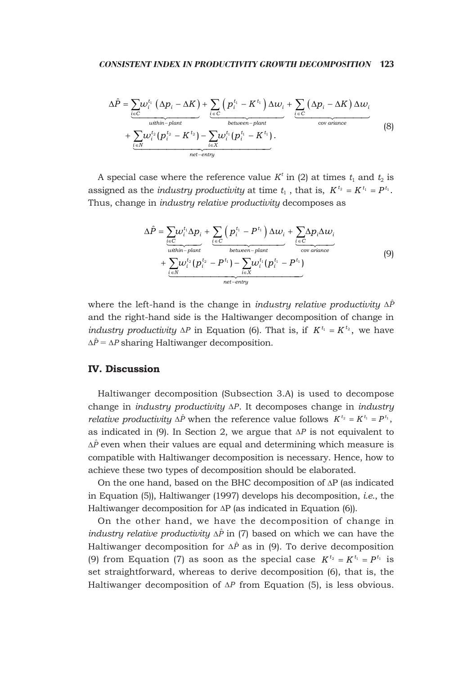$$
\Delta \hat{P} = \underbrace{\sum_{i \in C} \omega_i^{t_1} (\Delta p_i - \Delta K)}_{\text{within-plant}} + \underbrace{\sum_{i \in C} (p_i^{t_1} - K^{t_1}) \Delta w_i}_{\text{between-plant}} + \underbrace{\sum_{i \in C} (\Delta p_i - \Delta K) \Delta w_i}_{\text{covariance}} + \underbrace{\sum_{i \in N} \omega_i^{t_2} (p_i^{t_2} - K^{t_2}) - \sum_{i \in X} \omega_i^{t_1} (p_i^{t_1} - K^{t_1})}_{\text{net-entry}}.
$$
\n(8)

A special case where the reference value  $K<sup>t</sup>$  in (2) at times  $t<sub>1</sub>$  and  $t<sub>2</sub>$  is assigned as the *industry productivity* at time  $t_1$ , that is,  $K^{t_2} = K^{t_1} = P^{t_1}$ . Thus, change in *industry relative productivity* decomposes as

$$
\Delta \hat{P} = \sum_{\substack{i \in C \\ \text{within}-\text{plant}}} \omega_i^{t_1} \Delta p_i + \sum_{\substack{i \in C \\ \text{bottom}-\text{plant}}} \left( p_i^{t_1} - P^{t_1} \right) \Delta w_i + \sum_{\substack{i \in C \\ \text{covariance} \\ \text{covariance}}} \Delta p_i \Delta w_i
$$
\n
$$
+ \sum_{\substack{i \in N \\ \text{in } N}} \omega_i^{t_2} (p_i^{t_2} - P^{t_1}) - \sum_{i \in X} \omega_i^{t_1} (p_i^{t_1} - P^{t_1})
$$
\n
$$
+ \sum_{\substack{i \in N \\ \text{net-entry}}} \omega_i^{t_2} (p_i^{t_2} - P^{t_1})
$$
\n
$$
(9)
$$

where the left-hand is the change in *industry relative productivity* ∆*P*ˆ and the right-hand side is the Haltiwanger decomposition of change in *industry productivity*  $\Delta P$  in Equation (6). That is, if  $K^{t_1} = K^{t_2}$ , we have ∆*P*ˆ = ∆*P* sharing Haltiwanger decomposition.

# **IV. Discussion**

Haltiwanger decomposition (Subsection 3.A) is used to decompose change in *industry productivity* ∆*P* . It decomposes change in *industry relative productivity*  $\Delta \hat{P}$  when the reference value follows  $K^{t_2} = K^{t_1} = P^{t_1}$ , as indicated in (9). In Section 2, we argue that ∆*P* is not equivalent to ∆*P*ˆ even when their values are equal and determining which measure is compatible with Haltiwanger decomposition is necessary. Hence, how to achieve these two types of decomposition should be elaborated.

On the one hand, based on the BHC decomposition of ∆P (as indicated in Equation (5)), Haltiwanger (1997) develops his decomposition, *i.e*., the Haltiwanger decomposition for ∆P (as indicated in Equation (6)).

On the other hand, we have the decomposition of change in *industry relative productivity* ∆*P*<sup>∂</sup> in (7) based on which we can have the Haltiwanger decomposition for ∆*P*ˆ as in (9). To derive decomposition (9) from Equation (7) as soon as the special case  $K^{t_2} = K^{t_1} = P^{t_1}$  is set straightforward, whereas to derive decomposition (6), that is, the Haltiwanger decomposition of ∆*P* from Equation (5), is less obvious.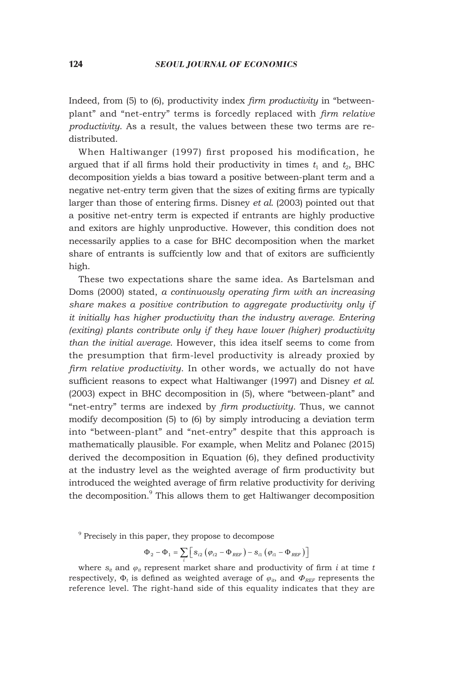Indeed, from (5) to (6), productivity index *firm productivity* in "betweenplant" and "net-entry" terms is forcedly replaced with *firm relative productivity*. As a result, the values between these two terms are redistributed.

When Haltiwanger (1997) first proposed his modification, he argued that if all firms hold their productivity in times  $t_1$  and  $t_2$ , BHC decomposition yields a bias toward a positive between-plant term and a negative net-entry term given that the sizes of exiting firms are typically larger than those of entering firms. Disney *et al*. (2003) pointed out that a positive net-entry term is expected if entrants are highly productive and exitors are highly unproductive. However, this condition does not necessarily applies to a case for BHC decomposition when the market share of entrants is suffciently low and that of exitors are sufficiently high.

These two expectations share the same idea. As Bartelsman and Doms (2000) stated, *a continuously operating firm with an increasing share makes a positive contribution to aggregate productivity only if it initially has higher productivity than the industry average. Entering (exiting) plants contribute only if they have lower (higher) productivity than the initial average*. However, this idea itself seems to come from the presumption that firm-level productivity is already proxied by *firm relative productivity*. In other words, we actually do not have sufficient reasons to expect what Haltiwanger (1997) and Disney *et al*. (2003) expect in BHC decomposition in (5), where "between-plant" and "net-entry" terms are indexed by *firm productivity*. Thus, we cannot modify decomposition (5) to (6) by simply introducing a deviation term into "between-plant" and "net-entry" despite that this approach is mathematically plausible. For example, when Melitz and Polanec (2015) derived the decomposition in Equation (6), they defined productivity at the industry level as the weighted average of firm productivity but introduced the weighted average of firm relative productivity for deriving the decomposition.<sup>9</sup> This allows them to get Haltiwanger decomposition

$$
\Phi_2 - \Phi_1 = \sum_i \left[ s_{i2} \left( \varphi_{i2} - \Phi_{\text{REF}} \right) - s_{i1} \left( \varphi_{i1} - \Phi_{\text{REF}} \right) \right]
$$

where  $s_{it}$  and  $\varphi_{it}$  represent market share and productivity of firm *i* at time *t* respectively,  $\Phi_t$  is defined as weighted average of  $\varphi_{it}$ , and  $\Phi_{REF}$  represents the reference level. The right-hand side of this equality indicates that they are

<sup>9</sup> Precisely in this paper, they propose to decompose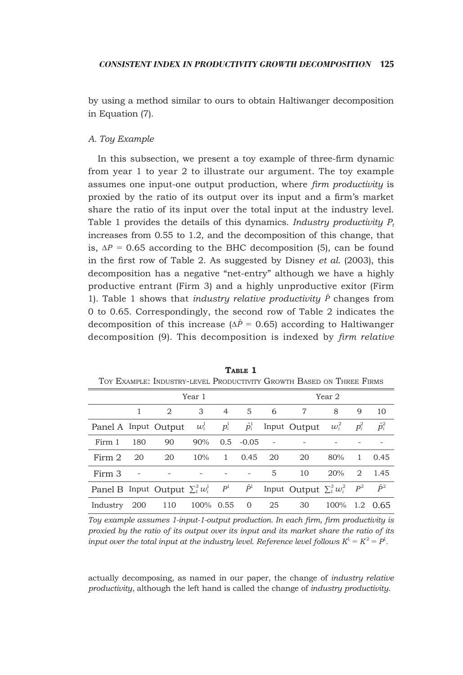by using a method similar to ours to obtain Haltiwanger decomposition in Equation (7).

# *A. Toy Example*

In this subsection, we present a toy example of three-firm dynamic from year 1 to year 2 to illustrate our argument. The toy example assumes one input-one output production, where *firm productivity* is proxied by the ratio of its output over its input and a firm's market share the ratio of its input over the total input at the industry level. Table 1 provides the details of this dynamics. *Industry productivity P<sup>t</sup>* increases from 0.55 to 1.2, and the decomposition of this change, that is, ∆*P* = 0.65 according to the BHC decomposition (5), can be found in the first row of Table 2. As suggested by Disney *et al*. (2003), this decomposition has a negative "net-entry" although we have a highly productive entrant (Firm 3) and a highly unproductive exitor (Firm 1). Table 1 shows that *industry relative productivity*  $\hat{P}$  changes from 0 to 0.65. Correspondingly, the second row of Table 2 indicates the decomposition of this increase ( $\Delta \hat{P}$  = 0.65) according to Haltiwanger decomposition (9). This decomposition is indexed by *firm relative* 

|                                       |     |                      | Year 1                                                      | Year 2         |               |    |                                     |         |         |               |
|---------------------------------------|-----|----------------------|-------------------------------------------------------------|----------------|---------------|----|-------------------------------------|---------|---------|---------------|
|                                       |     | 2                    | 3                                                           | $\overline{4}$ | 5             | 6  | 7                                   | 8       | 9       | 10            |
|                                       |     | Panel A Input Output | $w^{\scriptscriptstyle{1}}_i$ $p^{\scriptscriptstyle{1}}_i$ |                | $\hat{p}_i^1$ |    | Input Output                        | $w_i^2$ | $p_i^2$ | $\hat{p}_i^2$ |
| Firm 1                                | 180 | 90                   | 90%                                                         |                | $0.5 - 0.05$  |    |                                     |         |         |               |
| Firm 2                                | 20  | 20                   | 10%                                                         | $\mathbf{1}$   | 0.45          | 20 | 20                                  | 80%     | 1       | 0.45          |
| Firm 3                                |     |                      |                                                             |                |               | 5  | 10                                  | 20%     | 2       | 1.45          |
| Panel B Input Output $\sum_1^3 w_i^1$ |     |                      |                                                             | $P^1$          | $\hat{P}^1$   |    | Input Output $\sum_1^3 w_i^2$ $P^2$ |         |         | $\hat{P}^2$   |
| Industry                              | 200 | 110                  | 100% 0.55                                                   |                | 0             | 25 | 30                                  | 100%    | 1.2     | 0.65          |

TABLE 1 Toy Example: Industry-level Productivity Growth Based on Three Firms

*Toy example assumes 1-input-1-output production. In each firm, firm productivity is proxied by the ratio of its output over its input and its market share the ratio of its input over the total input at the industry level. Reference level follows*  $K^1 = K^2 = P^1$ *.* 

actually decomposing, as named in our paper, the change of *industry relative productivity*, although the left hand is called the change of *industry productivity*.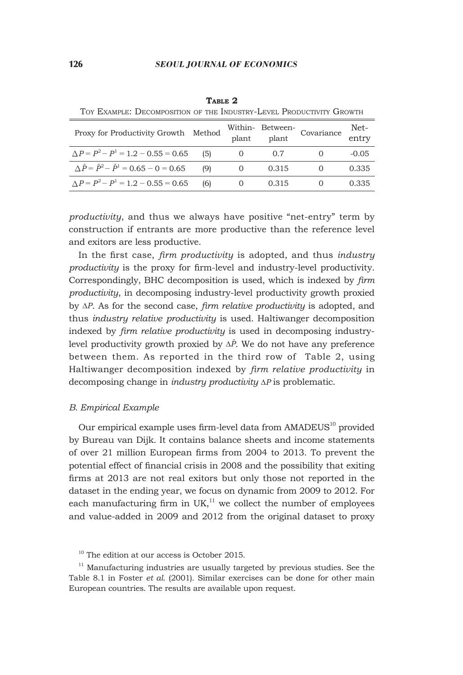| <u>TOI DAMMIDD. DDOOMI OSIIION OF IIID INDOSINI DDTDD I NODOCIITIII GINOWIII</u> |     |          |       |                                           |               |  |  |  |  |  |
|----------------------------------------------------------------------------------|-----|----------|-------|-------------------------------------------|---------------|--|--|--|--|--|
| Proxy for Productivity Growth Method                                             |     |          |       | Within-Between-<br>plant plant Covariance | Net-<br>entry |  |  |  |  |  |
| $\Delta P = P^2 - P^1 = 1.2 - 0.55 = 0.65$ (5)                                   |     | $\theta$ | 0.7   |                                           | $-0.05$       |  |  |  |  |  |
| $\Delta \hat{P} = \hat{P}^2 - \hat{P}^1 = 0.65 - 0 = 0.65$                       | (9) | $\theta$ | 0.315 |                                           | 0.335         |  |  |  |  |  |
| $\Delta P = P^2 - P^1 = 1.2 - 0.55 = 0.65$                                       | (6) | $\cup$   | 0.315 | $\theta$                                  | 0.335         |  |  |  |  |  |

**Table 2** Toy Example: Decomposition of the Industry-Level Productivity Growth

*productivity*, and thus we always have positive "net-entry" term by construction if entrants are more productive than the reference level and exitors are less productive.

In the first case, *firm productivity* is adopted, and thus *industry productivity* is the proxy for firm-level and industry-level productivity. Correspondingly, BHC decomposition is used, which is indexed by *firm productivity*, in decomposing industry-level productivity growth proxied by ∆*P* . As for the second case, *firm relative productivity* is adopted, and thus *industry relative productivity* is used. Haltiwanger decomposition indexed by *firm relative productivity* is used in decomposing industrylevel productivity growth proxied by ∆*P*ˆ. We do not have any preference between them. As reported in the third row of Table 2, using Haltiwanger decomposition indexed by *firm relative productivity* in decomposing change in *industry productivity* ∆*P* is problematic.

#### *B. Empirical Example*

Our empirical example uses firm-level data from  $AMADEUS<sup>10</sup>$  provided by Bureau van Dijk. It contains balance sheets and income statements of over 21 million European firms from 2004 to 2013. To prevent the potential effect of financial crisis in 2008 and the possibility that exiting firms at 2013 are not real exitors but only those not reported in the dataset in the ending year, we focus on dynamic from 2009 to 2012. For each manufacturing firm in  $UK<sub>i</sub><sup>11</sup>$  we collect the number of employees and value-added in 2009 and 2012 from the original dataset to proxy

 $10$  The edition at our access is October 2015.

 $11$  Manufacturing industries are usually targeted by previous studies. See the Table 8.1 in Foster *et al*. (2001). Similar exercises can be done for other main European countries. The results are available upon request.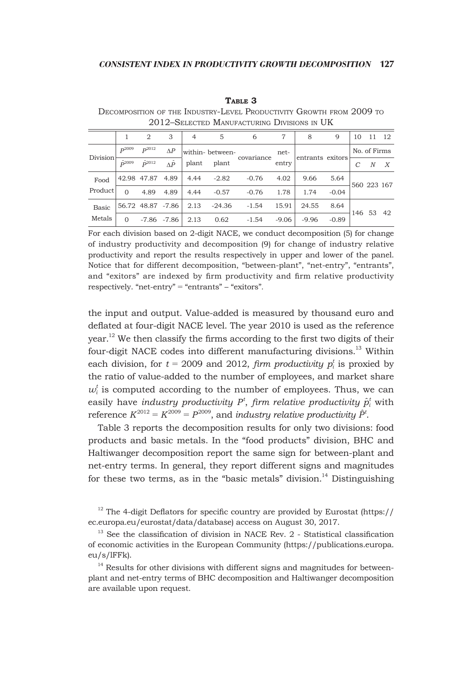#### **Table 3**

Decomposition of the Industry-Level Productivity Growth from 2009 to 2012–Selected Manufacturing Divisions in UK

|              |                  | 2                 | 3                 | $\overline{4}$ | 5               | 6          | 7       | 8                | 9       | 10           | 11 | -12              |
|--------------|------------------|-------------------|-------------------|----------------|-----------------|------------|---------|------------------|---------|--------------|----|------------------|
| Division     | $D^{2009}$       | $P^{2012}$        | $\Delta P$        |                | within-between- | covariance | net-    | entrants exitors |         | No. of Firms |    |                  |
|              | $\hat{D}^{2009}$ | $\hat{D}^{2012}$  | $\Lambda \hat{P}$ | plant          | plant           |            | entry   |                  |         | C            | N  | $\boldsymbol{X}$ |
| Food         |                  | 42.98 47.87       | 4.89              | 4.44           | $-2.82$         | $-0.76$    | 4.02    | 9.66             | 5.64    |              |    |                  |
| Product      | $\Omega$         | 4.89              | 4.89              | 4.44           | $-0.57$         | $-0.76$    | 1.78    | 1.74             | $-0.04$ | 560 223 167  |    |                  |
| <b>Basic</b> |                  | 56.72 48.87 -7.86 |                   | 2.13           | $-24.36$        | $-1.54$    | 15.91   | 24.55            | 8.64    |              |    | 42               |
| Metals       | $\Omega$         |                   | $-7.86$ $-7.86$   | 2.13           | 0.62            | $-1.54$    | $-9.06$ | $-9.96$          | $-0.89$ | 146 53       |    |                  |

For each division based on 2-digit NACE, we conduct decomposition (5) for change of industry productivity and decomposition (9) for change of industry relative productivity and report the results respectively in upper and lower of the panel. Notice that for different decomposition, "between-plant", "net-entry", "entrants", and "exitors" are indexed by firm productivity and firm relative productivity respectively. "net-entry" = "entrants" – "exitors"*.*

the input and output. Value-added is measured by thousand euro and deflated at four-digit NACE level. The year 2010 is used as the reference  $\gamma$  vear.<sup>12</sup> We then classify the firms according to the first two digits of their four-digit NACE codes into different manufacturing divisions.<sup>13</sup> Within each division, for  $t = 2009$  and 2012, *firm productivity*  $p_i^t$  is proxied by the ratio of value-added to the number of employees, and market share  $w_i^t$  is computed according to the number of employees. Thus, we can easily have *industry productivity*  $P^t$ *, firm relative productivity*  $\hat{p}^t_i$  *with* reference  $K^{2012} = K^{2009} = P^{2009}$ , and *industry relative productivity*  $\hat{P}^t$ .

Table 3 reports the decomposition results for only two divisions: food products and basic metals. In the "food products" division, BHC and Haltiwanger decomposition report the same sign for between-plant and net-entry terms. In general, they report different signs and magnitudes for these two terms, as in the "basic metals" division. $14$  Distinguishing

 $12$  The 4-digit Deflators for specific country are provided by Eurostat (https:// ec.europa.eu/eurostat/data/database) access on August 30, 2017.

<sup>&</sup>lt;sup>13</sup> See the classification of division in NACE Rev. 2 - Statistical classification of economic activities in the European Community (https://publications.europa. eu/s/lFFk).

<sup>&</sup>lt;sup>14</sup> Results for other divisions with different signs and magnitudes for betweenplant and net-entry terms of BHC decomposition and Haltiwanger decomposition are available upon request.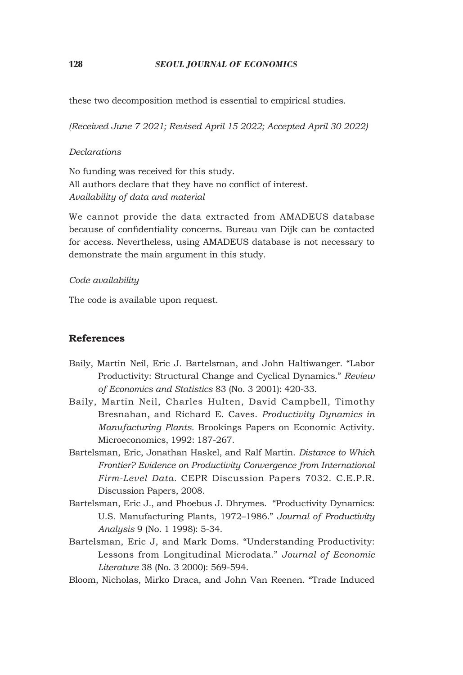## 128 *SEOUL JOURNAL OF ECONOMICS*

these two decomposition method is essential to empirical studies.

*(Received June 7 2021; Revised April 15 2022; Accepted April 30 2022)*

## *Declarations*

No funding was received for this study. All authors declare that they have no conflict of interest. *Availability of data and material*

We cannot provide the data extracted from AMADEUS database because of confidentiality concerns. Bureau van Dijk can be contacted for access. Nevertheless, using AMADEUS database is not necessary to demonstrate the main argument in this study.

## *Code availability*

The code is available upon request.

# **References**

- Baily, Martin Neil, Eric J. Bartelsman, and John Haltiwanger. "Labor Productivity: Structural Change and Cyclical Dynamics." *Review of Economics and Statistics* 83 (No. 3 2001): 420-33.
- Baily, Martin Neil, Charles Hulten, David Campbell, Timothy Bresnahan, and Richard E. Caves. *Productivity Dynamics in Manufacturing Plants.* Brookings Papers on Economic Activity. Microeconomics, 1992: 187-267.
- Bartelsman, Eric, Jonathan Haskel, and Ralf Martin. *Distance to Which Frontier? Evidence on Productivity Convergence from International Firm-Level Data.* CEPR Discussion Papers 7032. C.E.P.R. Discussion Papers, 2008.
- Bartelsman, Eric J., and Phoebus J. Dhrymes. "Productivity Dynamics: U.s. Manufacturing Plants, 1972–1986." *Journal of Productivity Analysis* 9 (No. 1 1998): 5-34.
- Bartelsman, Eric J, and Mark Doms. "Understanding Productivity: Lessons from Longitudinal Microdata." *Journal of Economic Literature* 38 (No. 3 2000): 569-594.
- Bloom, Nicholas, Mirko Draca, and John Van Reenen. "Trade Induced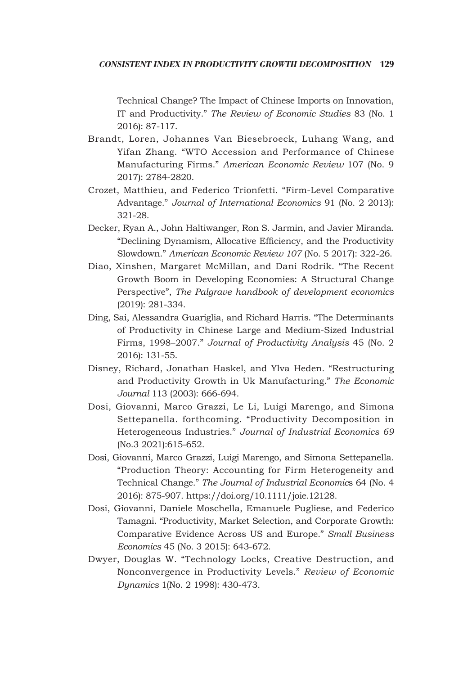## *Consistent index in productivity growth decomposition* 129

Technical Change? The Impact of Chinese Imports on Innovation, IT and Productivity." *The Review of Economic Studies* 83 (No. 1 2016): 87-117.

- Brandt, Loren, Johannes Van Biesebroeck, Luhang Wang, and Yifan Zhang. "WTO Accession and Performance of Chinese Manufacturing Firms." *American Economic Review* 107 (No. 9 2017): 2784-2820.
- Crozet, Matthieu, and Federico Trionfetti. "Firm-Level Comparative Advantage." *Journal of International Economics* 91 (No. 2 2013): 321-28.
- Decker, Ryan A., John Haltiwanger, Ron S. Jarmin, and Javier Miranda. "Declining Dynamism, Allocative Efficiency, and the Productivity Slowdown." *American Economic Review 107* (No. 5 2017): 322-26.
- Diao, Xinshen, Margaret McMillan, and Dani Rodrik. "The Recent Growth Boom in Developing Economies: A Structural Change Perspective", *The Palgrave handbook of development economics*  (2019): 281-334.
- Ding, Sai, Alessandra Guariglia, and Richard Harris. "The Determinants of Productivity in Chinese Large and Medium-Sized Industrial Firms, 1998–2007." *Journal of Productivity Analysis* 45 (No. 2 2016): 131-55.
- Disney, Richard, Jonathan Haskel, and Ylva Heden. "Restructuring and Productivity Growth in Uk Manufacturing." *The Economic Journal* 113 (2003): 666-694.
- Dosi, Giovanni, Marco Grazzi, Le Li, Luigi Marengo, and Simona Settepanella. forthcoming. "Productivity Decomposition in Heterogeneous Industries." *Journal of Industrial Economics 69*  (No.3 2021):615-652.
- Dosi, Giovanni, Marco Grazzi, Luigi Marengo, and Simona Settepanella. "Production Theory: Accounting for Firm Heterogeneity and Technical Change." *The Journal of Industrial Economic*s 64 (No. 4 2016): 875-907. https://doi.org/10.1111/joie.12128.
- Dosi, Giovanni, Daniele Moschella, Emanuele Pugliese, and Federico Tamagni. "Productivity, Market Selection, and Corporate Growth: Comparative Evidence Across Us and Europe." *Small Business Economics* 45 (No. 3 2015): 643-672.
- Dwyer, Douglas W. "Technology Locks, Creative Destruction, and Nonconvergence in Productivity Levels." *Review of Economic Dynamics* 1(No. 2 1998): 430-473.